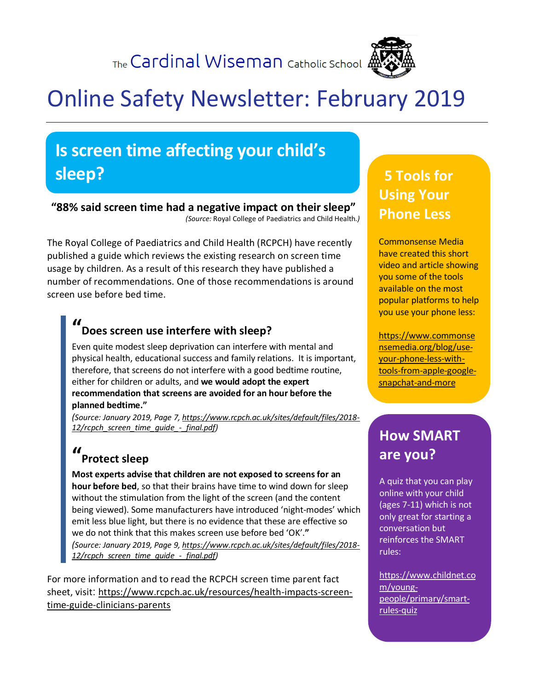The Cardinal Wiseman Catholic School 4



# Online Safety Newsletter: February 2019

## **Is screen time affecting your child's sleep?**

#### **"88% said screen time had a negative impact on their sleep"**

*(Source:* Royal College of Paediatrics and Child Health*.)*

The Royal College of Paediatrics and Child Health (RCPCH) have recently published a guide which reviews the existing research on screen time usage by children. As a result of this research they have published a number of recommendations. One of those recommendations is around screen use before bed time.

#### **" Does screen use interfere with sleep?**

Even quite modest sleep deprivation can interfere with mental and physical health, educational success and family relations. It is important, therefore, that screens do not interfere with a good bedtime routine, either for children or adults, and **we would adopt the expert recommendation that screens are avoided for an hour before the planned bedtime."**

*(Source: January 2019, Page 7, [https://www.rcpch.ac.uk/sites/default/files/2018-](https://www.rcpch.ac.uk/sites/default/files/2018-12/rcpch_screen_time_guide_-_final.pdf) [12/rcpch\\_screen\\_time\\_guide\\_-\\_final.pdf\)](https://www.rcpch.ac.uk/sites/default/files/2018-12/rcpch_screen_time_guide_-_final.pdf)*

#### **" Protect sleep**

**Most experts advise that children are not exposed to screensfor an hour before bed**, so that their brains have time to wind down for sleep without the stimulation from the light of the screen (and the content being viewed). Some manufacturers have introduced 'night-modes' which emit less blue light, but there is no evidence that these are effective so we do not think that this makes screen use before bed 'OK'.**"**

*(Source: January 2019, Page 9, [https://www.rcpch.ac.uk/sites/default/files/2018-](https://www.rcpch.ac.uk/sites/default/files/2018-12/rcpch_screen_time_guide_-_final.pdf) [12/rcpch\\_screen\\_time\\_guide\\_-\\_final.pdf\)](https://www.rcpch.ac.uk/sites/default/files/2018-12/rcpch_screen_time_guide_-_final.pdf)*

For more information and to read the RCPCH screen time parent fact sheet, visit: [https://www.rcpch.ac.uk/resources/health-impacts-screen](https://www.rcpch.ac.uk/resources/health-impacts-screen-time-guide-clinicians-parents)[time-guide-clinicians-parents](https://www.rcpch.ac.uk/resources/health-impacts-screen-time-guide-clinicians-parents)

## **5 Tools for Using Your Phone Less**

Commonsense Media have created this short video and article showing you some of the tools available on the most popular platforms to help you use your phone less:

[https://www.commonse](https://www.commonsensemedia.org/blog/use-your-phone-less-with-tools-from-apple-google-snapchat-and-more) [nsemedia.org/blog/use](https://www.commonsensemedia.org/blog/use-your-phone-less-with-tools-from-apple-google-snapchat-and-more)[your-phone-less-with](https://www.commonsensemedia.org/blog/use-your-phone-less-with-tools-from-apple-google-snapchat-and-more)[tools-from-apple-google](https://www.commonsensemedia.org/blog/use-your-phone-less-with-tools-from-apple-google-snapchat-and-more)[snapchat-and-more](https://www.commonsensemedia.org/blog/use-your-phone-less-with-tools-from-apple-google-snapchat-and-more)

## **How SMART are you?**

A quiz that you can play online with your child (ages 7-11) which is not only great for starting a conversation but reinforces the SMART rules:

[https://www.childnet.co](https://www.childnet.com/young-people/primary/smart-rules-quiz) [m/young](https://www.childnet.com/young-people/primary/smart-rules-quiz)[people/primary/smart](https://www.childnet.com/young-people/primary/smart-rules-quiz)[rules-quiz](https://www.childnet.com/young-people/primary/smart-rules-quiz)